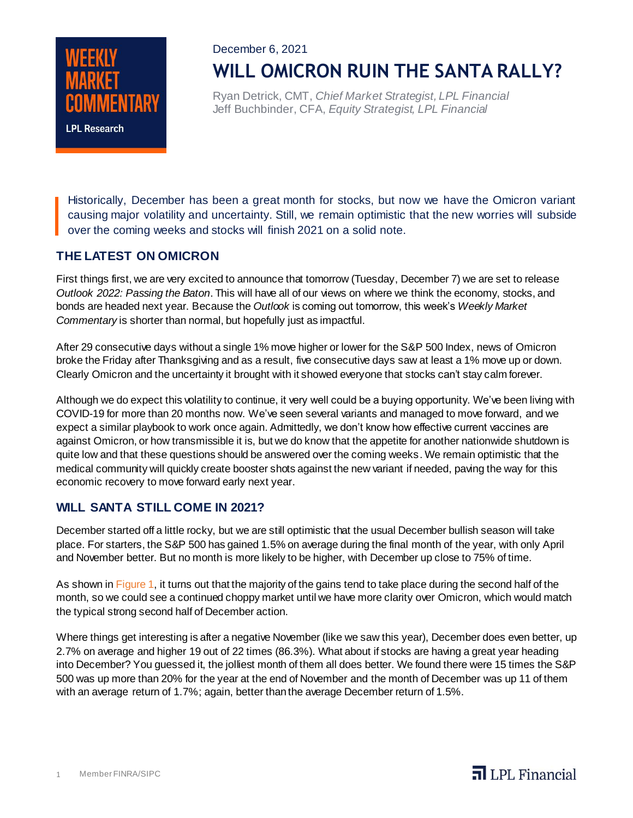

December 6, 2021 **WILL OMICRON RUIN THE SANTA RALLY?**

Ryan Detrick, CMT, *Chief Market Strategist, LPL Financial* Jeff Buchbinder, CFA, *Equity Strategist, LPL Financial*

Historically, December has been a great month for stocks, but now we have the Omicron variant causing major volatility and uncertainty. Still, we remain optimistic that the new worries will subside over the coming weeks and stocks will finish 2021 on a solid note.

## **THE LATEST ON OMICRON**

First things first, we are very excited to announce that tomorrow (Tuesday, December 7) we are set to release *Outlook 2022: Passing the Baton*. This will have all of our views on where we think the economy, stocks, and bonds are headed next year. Because the *Outlook* is coming out tomorrow, this week's *Weekly Market Commentary* is shorter than normal, but hopefully just as impactful.

After 29 consecutive days without a single 1% move higher or lower for the S&P 500 Index, news of Omicron broke the Friday after Thanksgiving and as a result, five consecutive days saw at least a 1% move up or down. Clearly Omicron and the uncertainty it brought with it showed everyone that stocks can't stay calm forever.

Although we do expect this volatility to continue, it very well could be a buying opportunity. We've been living with COVID-19 for more than 20 months now. We've seen several variants and managed to move forward, and we expect a similar playbook to work once again. Admittedly, we don't know how effective current vaccines are against Omicron, or how transmissible it is, but we do know that the appetite for another nationwide shutdown is quite low and that these questions should be answered over the coming weeks. We remain optimistic that the medical community will quickly create booster shots against the new variant if needed, paving the way for this economic recovery to move forward early next year.

## **WILL SANTA STILL COME IN 2021?**

December started off a little rocky, but we are still optimistic that the usual December bullish season will take place. For starters, the S&P 500 has gained 1.5% on average during the final month of the year, with only April and November better. But no month is more likely to be higher, with December up close to 75% of time.

As shown in Figure 1, it turns out that the majority of the gains tend to take place during the second half of the month, so we could see a continued choppy market until we have more clarity over Omicron, which would match the typical strong second half of December action.

Where things get interesting is after a negative November (like we saw this year), December does even better, up 2.7% on average and higher 19 out of 22 times (86.3%). What about if stocks are having a great year heading into December? You guessed it, the jolliest month of them all does better. We found there were 15 times the S&P 500 was up more than 20% for the year at the end of November and the month of December was up 11 of them with an average return of 1.7%; again, better than the average December return of 1.5%.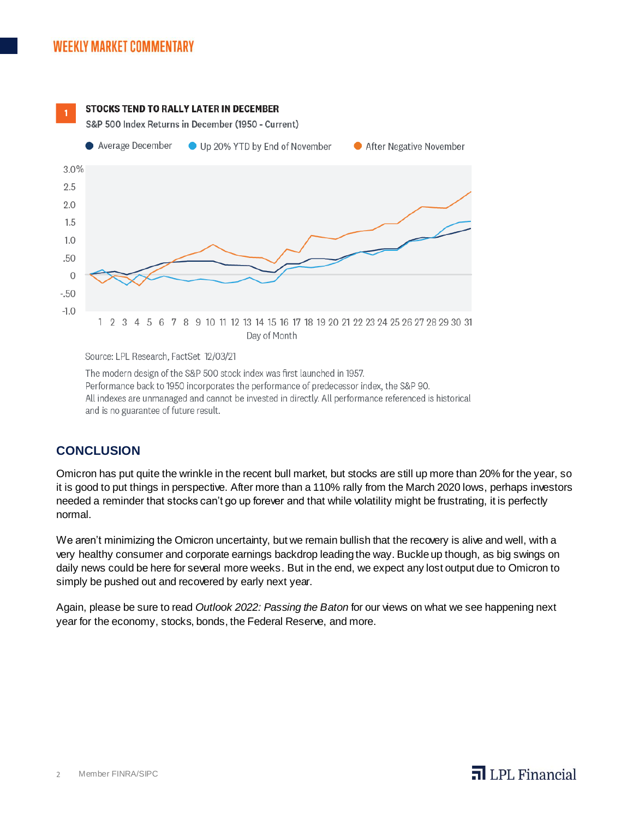

Source: LPL Research, FactSet 12/03/21

The modern design of the S&P 500 stock index was first launched in 1957. Performance back to 1950 incorporates the performance of predecessor index, the S&P 90. All indexes are unmanaged and cannot be invested in directly. All performance referenced is historical and is no guarantee of future result.

## **CONCLUSION**

Omicron has put quite the wrinkle in the recent bull market, but stocks are still up more than 20% for the year, so it is good to put things in perspective. After more than a 110% rally from the March 2020 lows, perhaps investors needed a reminder that stocks can't go up forever and that while volatility might be frustrating, it is perfectly normal.

We aren't minimizing the Omicron uncertainty, but we remain bullish that the recovery is alive and well, with a very healthy consumer and corporate earnings backdrop leading the way. Buckle up though, as big swings on daily news could be here for several more weeks. But in the end, we expect any lost output due to Omicron to simply be pushed out and recovered by early next year.

Again, please be sure to read *Outlook 2022: Passing the Baton* for our views on what we see happening next year for the economy, stocks, bonds, the Federal Reserve, and more.